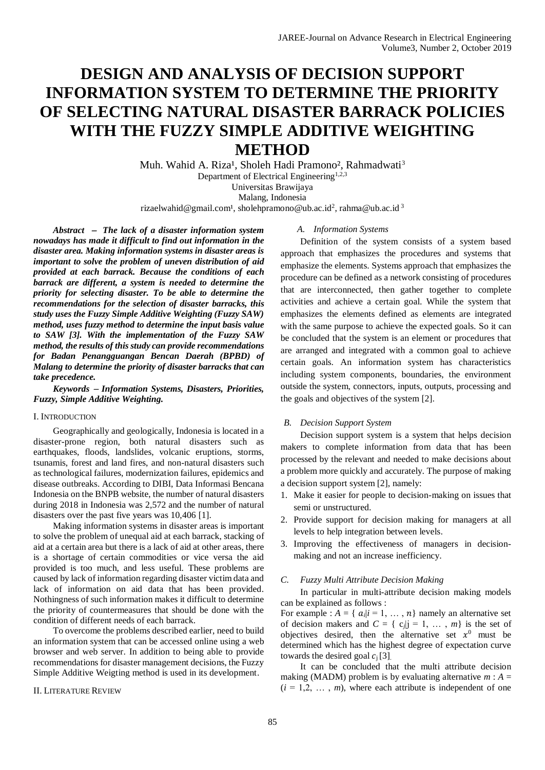# **DESIGN AND ANALYSIS OF DECISION SUPPORT INFORMATION SYSTEM TO DETERMINE THE PRIORITY OF SELECTING NATURAL DISASTER BARRACK POLICIES WITH THE FUZZY SIMPLE ADDITIVE WEIGHTING METHOD**

Muh. Wahid A. Riza<sup>1</sup>, Sholeh Hadi Pramono<sup>2</sup>, Rahmadwati<sup>3</sup> Department of Electrical Engineering<sup>1,2,3</sup> Universitas Brawijaya Malang, Indonesia rizaelwahid@gmail.com<sup>1</sup>, sholehpramono@ub.ac.id<sup>2</sup>, rahma@ub.ac.id<sup>3</sup>

*Abstract The lack of a disaster information system nowadays has made it difficult to find out information in the disaster area. Making information systems in disaster areas is important to solve the problem of uneven distribution of aid provided at each barrack. Because the conditions of each barrack are different, a system is needed to determine the priority for selecting disaster. To be able to determine the recommendations for the selection of disaster barracks, this study uses the Fuzzy Simple Additive Weighting (Fuzzy SAW) method, uses fuzzy method to determine the input basis value to SAW [3]. With the implementation of the Fuzzy SAW method, the results of this study can provide recommendations for Badan Penangguangan Bencan Daerah (BPBD) of Malang to determine the priority of disaster barracks that can take precedence.*

*Keywords Information Systems, Disasters, Priorities, Fuzzy, Simple Additive Weighting.*

## I. INTRODUCTION

Geographically and geologically, Indonesia is located in a disaster-prone region, both natural disasters such as earthquakes, floods, landslides, volcanic eruptions, storms, tsunamis, forest and land fires, and non-natural disasters such as technological failures, modernization failures, epidemics and disease outbreaks. According to DIBI, Data Informasi Bencana Indonesia on the BNPB website, the number of natural disasters during 2018 in Indonesia was 2,572 and the number of natural disasters over the past five years was 10,406 [1].

Making information systems in disaster areas is important to solve the problem of unequal aid at each barrack, stacking of aid at a certain area but there is a lack of aid at other areas, there is a shortage of certain commodities or vice versa the aid provided is too much, and less useful. These problems are caused by lack of information regarding disaster victim data and lack of information on aid data that has been provided. Nothingness of such information makes it difficult to determine the priority of countermeasures that should be done with the condition of different needs of each barrack.

To overcome the problems described earlier, need to build an information system that can be accessed online using a web browser and web server. In addition to being able to provide recommendations for disaster management decisions, the Fuzzy Simple Additive Weigting method is used in its development.

#### II. LITERATURE REVIEW

*A. Information Systems*

Definition of the system consists of a system based approach that emphasizes the procedures and systems that emphasize the elements. Systems approach that emphasizes the procedure can be defined as a network consisting of procedures that are interconnected, then gather together to complete activities and achieve a certain goal. While the system that emphasizes the elements defined as elements are integrated with the same purpose to achieve the expected goals. So it can be concluded that the system is an element or procedures that are arranged and integrated with a common goal to achieve certain goals. An information system has characteristics including system components, boundaries, the environment outside the system, connectors, inputs, outputs, processing and the goals and objectives of the system [2].

### *B. Decision Support System*

Decision support system is a system that helps decision makers to complete information from data that has been processed by the relevant and needed to make decisions about a problem more quickly and accurately. The purpose of making a decision support system [2], namely:

- 1. Make it easier for people to decision-making on issues that semi or unstructured.
- 2. Provide support for decision making for managers at all levels to help integration between levels.
- 3. Improving the effectiveness of managers in decisionmaking and not an increase inefficiency.

#### *C. Fuzzy Multi Attribute Decision Making*

In particular in multi-attribute decision making models can be explained as follows :

For example :  $A = \{ \alpha_i | i = 1, ..., n \}$  namely an alternative set of decision makers and  $C = \{ c_j | j = 1, ..., m \}$  is the set of objectives desired, then the alternative set  $x^0$  must be determined which has the highest degree of expectation curve towards the desired goal  $c_i$  [3].

It can be concluded that the multi attribute decision making (MADM) problem is by evaluating alternative  $m : A =$  $(i = 1, 2, \ldots, m)$ , where each attribute is independent of one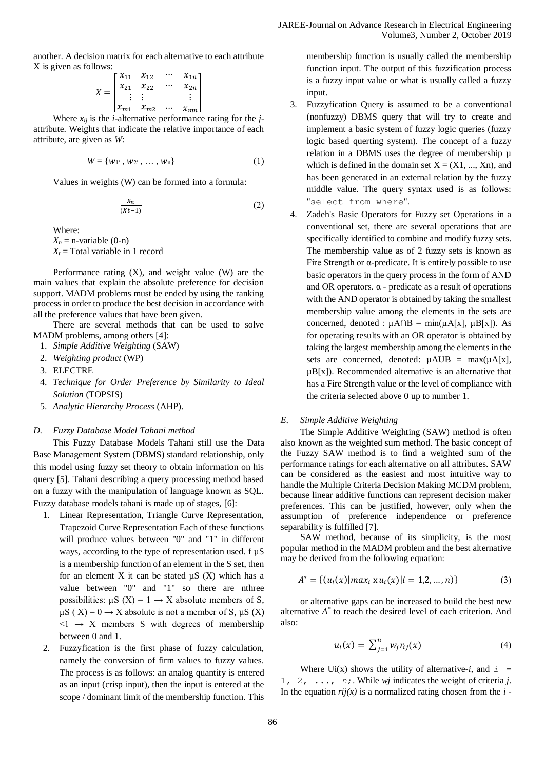another. A decision matrix for each alternative to each attribute X is given as follows:

$$
X = \begin{bmatrix} x_{11} & x_{12} & \cdots & x_{1n} \\ x_{21} & x_{22} & \cdots & x_{2n} \\ \vdots & \vdots & & \vdots \\ x_{m1} & x_{m2} & \cdots & x_{mn} \end{bmatrix}
$$

Where  $x_{ij}$  is the *i*-alternative performance rating for the *j*attribute. Weights that indicate the relative importance of each attribute, are given as *W*:

$$
W = \{w_{1'}, w_{2'}, \ldots, w_{n}\}\tag{1}
$$

Values in weights (W) can be formed into a formula:

$$
\frac{x_n}{(xt-1)}
$$
 (2)

Where:

 $X_n$  = n-variable (0-n)

 $X_t$  = Total variable in 1 record

Performance rating  $(X)$ , and weight value  $(W)$  are the main values that explain the absolute preference for decision support. MADM problems must be ended by using the ranking process in order to produce the best decision in accordance with all the preference values that have been given.

There are several methods that can be used to solve MADM problems, among others [4]:

- 1. *Simple Additive Weighting* (SAW)
- 2. *Weighting product* (WP)
- 3. ELECTRE
- 4. *Technique for Order Preference by Similarity to Ideal Solution* (TOPSIS)
- 5. *Analytic Hierarchy Process* (AHP).

#### *D. Fuzzy Database Model Tahani method*

This Fuzzy Database Models Tahani still use the Data Base Management System (DBMS) standard relationship, only this model using fuzzy set theory to obtain information on his query [5]. Tahani describing a query processing method based on a fuzzy with the manipulation of language known as SQL. Fuzzy database models tahani is made up of stages, [6]:

- 1. Linear Representation, Triangle Curve Representation, Trapezoid Curve Representation Each of these functions will produce values between "0" and "1" in different ways, according to the type of representation used. f  $\mu$ S is a membership function of an element in the S set, then for an element X it can be stated  $\mu S$  (X) which has a value between "0" and "1" so there are nthree possibilities:  $\mu S$  (X) = 1  $\rightarrow$  X absolute members of S,  $\mu S$  (X) = 0  $\rightarrow$  X absolute is not a member of S,  $\mu S$  (X)  $\leq 1 \rightarrow X$  members S with degrees of membership between 0 and 1.
- 2. Fuzzyfication is the first phase of fuzzy calculation, namely the conversion of firm values to fuzzy values. The process is as follows: an analog quantity is entered as an input (crisp input), then the input is entered at the scope / dominant limit of the membership function. This

membership function is usually called the membership function input. The output of this fuzzification process is a fuzzy input value or what is usually called a fuzzy input.

- 3. Fuzzyfication Query is assumed to be a conventional (nonfuzzy) DBMS query that will try to create and implement a basic system of fuzzy logic queries (fuzzy logic based querting system). The concept of a fuzzy relation in a DBMS uses the degree of membership  $\mu$ which is defined in the domain set  $X = (X1, ..., Xn)$ , and has been generated in an external relation by the fuzzy middle value. The query syntax used is as follows: "select from where".
- 4. Zadeh's Basic Operators for Fuzzy set Operations in a conventional set, there are several operations that are specifically identified to combine and modify fuzzy sets. The membership value as of 2 fuzzy sets is known as Fire Strength or  $\alpha$ -predicate. It is entirely possible to use basic operators in the query process in the form of AND and OR operators.  $\alpha$  - predicate as a result of operations with the AND operator is obtained by taking the smallest membership value among the elements in the sets are concerned, denoted :  $\mu A \cap B = \min(\mu A[x], \mu B[x])$ . As for operating results with an OR operator is obtained by taking the largest membership among the elements in the sets are concerned, denoted:  $\mu AUB = \max(\mu A[x])$ ,  $\mu$ B[x]). Recommended alternative is an alternative that has a Fire Strength value or the level of compliance with the criteria selected above 0 up to number 1.

#### *E. Simple Additive Weighting*

The Simple Additive Weighting (SAW) method is often also known as the weighted sum method. The basic concept of the Fuzzy SAW method is to find a weighted sum of the performance ratings for each alternative on all attributes. SAW can be considered as the easiest and most intuitive way to handle the Multiple Criteria Decision Making MCDM problem, because linear additive functions can represent decision maker preferences. This can be justified, however, only when the assumption of preference independence or preference separability is fulfilled [7].

SAW method, because of its simplicity, is the most popular method in the MADM problem and the best alternative may be derived from the following equation:

$$
A^* = \{(u_i(x)|\max_i xu_i(x)|i=1,2,...,n)\}\tag{3}
$$

or alternative gaps can be increased to build the best new alternative *A \** to reach the desired level of each criterion. And also:

$$
u_i(x) = \sum_{j=1}^n w_j r_{ij}(x) \tag{4}
$$

Where  $Ui(x)$  shows the utility of alternative-*i*, and  $i =$ 1, 2, ..., *n*;. While *wj* indicates the weight of criteria *j*. In the equation  $rij(x)$  is a normalized rating chosen from the  $i$ -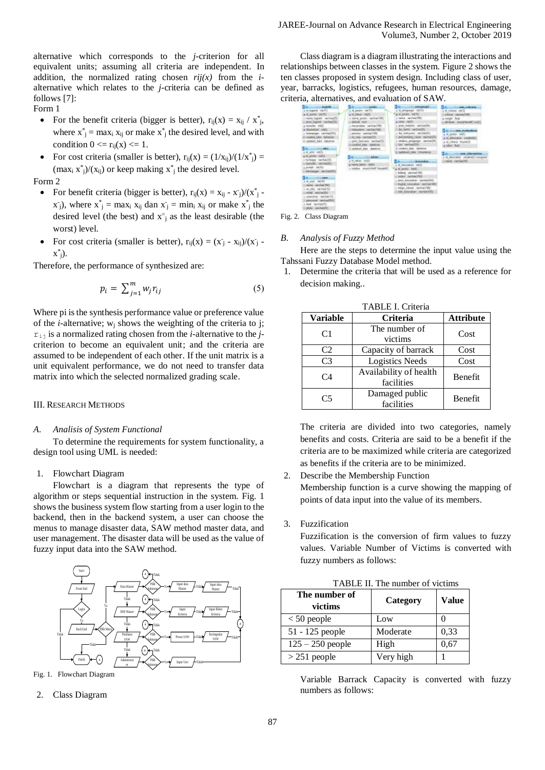alternative which corresponds to the *j*-criterion for all equivalent units; assuming all criteria are independent. In addition, the normalized rating chosen  $rij(x)$  from the *i*alternative which relates to the *j-*criteria can be defined as follows [7]:

# Form 1

- For the benefit criteria (bigger is better),  $r_{ij}(x) = x_{ij} / x^*_{j}$ , where  $x^*_{j}$  = max<sub>i</sub>  $x_{ij}$  or make  $x^*_{j}$  the desired level, and with condition  $0 \le r_{ij}(x) \le 1$ .
- For cost criteria (smaller is better),  $r_{ij}(x) = (1/x_{ij})/(1/x^*) =$  $(\max_i x^*_j)/(x_{ij})$  or keep making  $x^*_j$  the desired level.

Form 2

- For benefit criteria (bigger is better),  $r_{ij}(x) = x_{ij} x_{j}^{2}/(x^{*})$  $(x_j)$ , where  $x_j^* = \max_i x_{ij}$  dan  $x_j = \min_i x_{ij}$  or make  $x_j^*$  the desired level (the best) and  $x^2$  as the least desirable (the worst) level.
- For cost criteria (smaller is better),  $r_{ij}(x) = (x_j x_{ij})/(x_j x_{ij})$  $x^*_{j}$ ).

Therefore, the performance of synthesized are:

$$
p_i = \sum_{j=1}^{m} w_j r_{ij} \tag{5}
$$

Where pi is the synthesis performance value or preference value of the *i*-alternative;  $w_i$  shows the weighting of the criteria to j;  $r_{i,j}$  is a normalized rating chosen from the *i*-alternative to the *j*criterion to become an equivalent unit; and the criteria are assumed to be independent of each other. If the unit matrix is a unit equivalent performance, we do not need to transfer data matrix into which the selected normalized grading scale.

#### III. RESEARCH METHODS

#### *A. Analisis of System Functional*

To determine the requirements for system functionality, a design tool using UML is needed:

#### 1. Flowchart Diagram

Flowchart is a diagram that represents the type of algorithm or steps sequential instruction in the system. Fig. 1 shows the business system flow starting from a user login to the backend, then in the backend system, a user can choose the menus to manage disaster data, SAW method master data, and user management. The disaster data will be used as the value of fuzzy input data into the SAW method.



Fig. 1. Flowchart Diagram

2. Class Diagram

Class diagram is a diagram illustrating the interactions and relationships between classes in the system. Figure 2 shows the ten classes proposed in system design. Including class of user, year, barracks, logistics, refugees, human resources, damage, criteria, alternatives, and evaluation of SAW.

| <b>Acodum</b>                                                                                                                                                                                                                                                                                                                                                                                                                                                                                                                                                                              | <b>STATISTICS</b>                                                                                                                                                                                                                                                                                                                                                                |                                                                                                                                                                                                                                                                                                                                                                                                                                                                                                                                                                            | The committee and collection                                                                                                                                                                                                                                                                      |
|--------------------------------------------------------------------------------------------------------------------------------------------------------------------------------------------------------------------------------------------------------------------------------------------------------------------------------------------------------------------------------------------------------------------------------------------------------------------------------------------------------------------------------------------------------------------------------------------|----------------------------------------------------------------------------------------------------------------------------------------------------------------------------------------------------------------------------------------------------------------------------------------------------------------------------------------------------------------------------------|----------------------------------------------------------------------------------------------------------------------------------------------------------------------------------------------------------------------------------------------------------------------------------------------------------------------------------------------------------------------------------------------------------------------------------------------------------------------------------------------------------------------------------------------------------------------------|---------------------------------------------------------------------------------------------------------------------------------------------------------------------------------------------------------------------------------------------------------------------------------------------------|
| 1-M. Dogwill and FTS<br>VE SOARS VACITY<br>name hands, recovered<br>ant Sant milwill<br>a terusta, selli<br>a' diastatical ( vote)<br>- televania - castual2511<br>SHARE (ARE SAMUE)<br>Everyway real functions<br><b>COLUMN MARKET</b><br>Light rate and paint<br>LIBRI GREAT IN<br>a kertiaga - laichar252<br>(ANGIN), WOMEN?<br>a Jerdah - John VIII<br><b><i><u>ABANDARY VELTIC</u></i></b><br><b>Business Christmas</b><br>a or som . no bit<br>conta cattol 1961<br>(Photogy, 186, in<br>solida Link English Co.<br>plasteria : contractó<br>personal cannactic<br>Like Hartner, New | L.M. photo: milTE-<br>Eds. Hall N.<br>A lowing pasket, twichwill@b<br>Manar (664)<br>Little and Archaeology<br>TRANSPORT DESIGNATION<br>(1933) advance teams in<br>At No. Inclinitis<br>i jotis bercara ratchat25.<br>consider that insiders<br>Combara Inte America<br><b>CONTRACTOR</b><br>a in called . In 19.<br>a manna palman (1953) : 1<br>1-Selates PALMY MAIL Forestall | <b>D. propega 10079</b><br>I hady racised 100:<br>aman's keeting<br>pota belastic vaccuration<br>by tony recreating<br>1-Ba Helindai, ISONETIL<br>C. BANGARAGE AWAY, THANKING<br>I Middle progress cardwards<br><b>EAK VANYANZTIE</b><br>Il condect chief (deed) in<br><b>Griddell date</b> transferrer<br><b>LLAMAGEE</b><br>a of homestade, milita<br>a posu l'aski<br><b>Askers</b> westwell \$85<br>telliber Chart-field PDOS<br>you, broustear; resitendition<br>Lington instructions contriver till<br>I help show recher to:<br><b>CONTRACTOR</b> HARVESTER RESERVE | 4.4 totals and a<br>Listenin conduction.<br>a weight fock<br>v.<br>(BUSIN: Phill brook 2011)<br><b>COLORADO PUBLICIO</b><br><b>Calverson Leading</b><br>a id cheata ' binami'il<br><b>CONSTRACTOR</b><br>Committee and chief animal<br>+ id attenution (imalved) ansigned<br><b>SAFA CAPTACTS</b> |

Fig. 2. Class Diagram

#### *B. Analysis of Fuzzy Method*

Here are the steps to determine the input value using the Tahssani Fuzzy Database Model method.

1. Determine the criteria that will be used as a reference for decision making..

| TABLE I. Criteria |                                      |                  |  |  |
|-------------------|--------------------------------------|------------------|--|--|
| <b>Variable</b>   | Criteria                             | <b>Attribute</b> |  |  |
| C1                | The number of<br>victims             | Cost             |  |  |
| C <sub>2</sub>    | Capacity of barrack                  | Cost             |  |  |
| C <sub>3</sub>    | <b>Logistics Needs</b>               | Cost             |  |  |
| C4                | Availability of health<br>facilities | Benefit          |  |  |
| C5                | Damaged public<br>facilities         | Benefit          |  |  |

TABLE I. Criteria

The criteria are divided into two categories, namely benefits and costs. Criteria are said to be a benefit if the criteria are to be maximized while criteria are categorized as benefits if the criteria are to be minimized.

- 2. Describe the Membership Function Membership function is a curve showing the mapping of points of data input into the value of its members.
- 3. Fuzzification

Fuzzification is the conversion of firm values to fuzzy values. Variable Number of Victims is converted with fuzzy numbers as follows:

|  | TABLE II. The number of victims |  |
|--|---------------------------------|--|
|--|---------------------------------|--|

| The number of<br>victims | Category  | Value |
|--------------------------|-----------|-------|
| $< 50$ people            | Low       |       |
| 51 - 125 people          | Moderate  | 0,33  |
| $125 - 250$ people       | High      | 0.67  |
| $>$ 251 people           | Very high |       |

Variable Barrack Capacity is converted with fuzzy numbers as follows: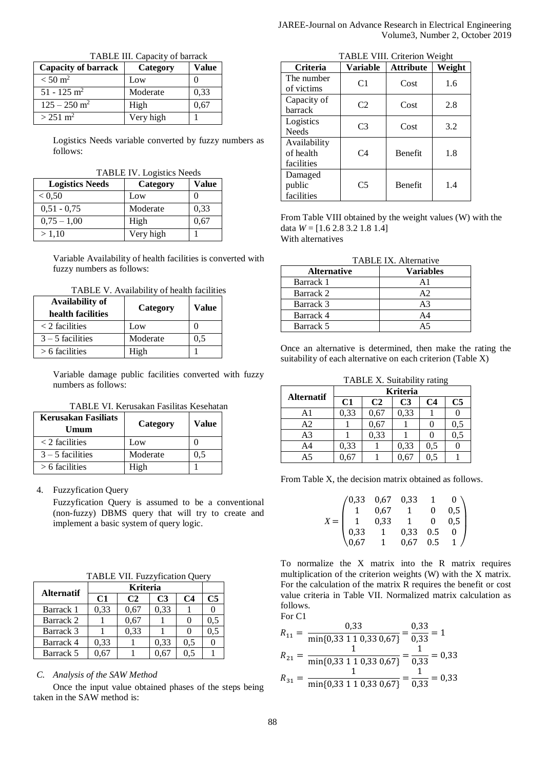| TABLE III. Capacity of barrack |           |       |  |
|--------------------------------|-----------|-------|--|
| <b>Capacity of barrack</b>     | Category  | Value |  |
| $< 50 \text{ m}^2$             | Low       |       |  |
| $51 - 125$ m <sup>2</sup>      | Moderate  | 0,33  |  |
| $125 - 250$ m <sup>2</sup>     | High      | 0,67  |  |
| $> 251 \text{ m}^2$            | Very high |       |  |

Logistics Needs variable converted by fuzzy numbers as follows:

TABLE IV. Logistics Needs

| <b>Logistics Needs</b> | Category  | Value |
|------------------------|-----------|-------|
| ${}_{< 0.50}$          | Low       |       |
| $0.51 - 0.75$          | Moderate  | 0,33  |
| $0.75 - 1.00$          | High      | 0.67  |
| > 1.10                 | Very high |       |

Variable Availability of health facilities is converted with fuzzy numbers as follows:

TABLE V. Availability of health facilities

| Availability of<br>health facilities | Category | Value |
|--------------------------------------|----------|-------|
| $\langle$ 2 facilities               | Low      |       |
| $3 - 5$ facilities                   | Moderate | 0.5   |
| $> 6$ facilities                     | High     |       |

Variable damage public facilities converted with fuzzy numbers as follows:

| <b>Kerusakan Fasiliats</b><br>Umum | Category | Value |
|------------------------------------|----------|-------|
| $\langle$ 2 facilities             | Low      |       |
| $3 - 5$ facilities                 | Moderate | 0.5   |
| $> 6$ facilities                   | High     |       |

4. Fuzzyfication Query

Fuzzyfication Query is assumed to be a conventional (non-fuzzy) DBMS query that will try to create and implement a basic system of query logic.

TABLE VII. Fuzzyfication Query

| <b>Alternatif</b> | Kriteria |      |                |                |                |
|-------------------|----------|------|----------------|----------------|----------------|
|                   | C1       | C2   | C <sub>3</sub> | C <sub>4</sub> | C <sub>5</sub> |
| Barrack 1         | 0,33     | 0.67 | 0,33           |                |                |
| Barrack 2         |          | 0.67 |                |                | 0.5            |
| Barrack 3         |          | 0,33 |                |                | 0.5            |
| Barrack 4         | 0,33     |      | 0,33           | 0.5            |                |
| Barrack 5         | -67      |      |                |                |                |

# *C. Analysis of the SAW Method*

Once the input value obtained phases of the steps being taken in the SAW method is:

|                                         | TABLE VIII. Criterion Weight |                  |        |
|-----------------------------------------|------------------------------|------------------|--------|
| <b>Criteria</b>                         | Variable                     | <b>Attribute</b> | Weight |
| The number<br>of victims                | C1                           | Cost             | 1.6    |
| Capacity of<br>barrack                  | C2                           | Cost             | 2.8    |
| Logistics<br><b>Needs</b>               | C <sub>3</sub>               | Cost             | 3.2    |
| Availability<br>of health<br>facilities | C <sub>4</sub>               | <b>Benefit</b>   | 1.8    |
| Damaged<br>public<br>facilities         | C <sub>5</sub>               | <b>Benefit</b>   | 1.4    |

From Table VIII obtained by the weight values (W) with the data  $W = [1.6 2.8 3.2 1.8 1.4]$ With alternatives

| <b>TABLE IX. Alternative</b> |                  |  |  |
|------------------------------|------------------|--|--|
| <b>Alternative</b>           | <b>Variables</b> |  |  |
| Barrack 1                    | A <sub>1</sub>   |  |  |
| Barrack 2                    | A <sub>2</sub>   |  |  |
| Barrack 3                    | A <sup>3</sup>   |  |  |
| Barrack 4                    | A <sub>4</sub>   |  |  |
| Barrack 5                    |                  |  |  |

Once an alternative is determined, then make the rating the suitability of each alternative on each criterion (Table X)

TABLE X. Suitability rating

|                   |      |                | <b>Kriteria</b> |                |                |
|-------------------|------|----------------|-----------------|----------------|----------------|
| <b>Alternatif</b> | C1   | C <sub>2</sub> | C <sub>3</sub>  | C <sub>4</sub> | C <sub>5</sub> |
| A1                | 0,33 | 0,67           | 0,33            |                |                |
| A2                |      | 0,67           |                 |                | 0,5            |
| A <sub>3</sub>    |      | 0,33           |                 |                | 0.5            |
| A4                | 0,33 |                | 0,33            | 0.5            |                |
| A <sub>5</sub>    |      |                |                 | 0.5            |                |

From Table X, the decision matrix obtained as follows.

| (0, 33) | $0,67$ $0,33$<br>0.67  1<br>1  0.33  1 |                                                      | $\overline{1}$   | $0^{\circ}$                                |
|---------|----------------------------------------|------------------------------------------------------|------------------|--------------------------------------------|
|         |                                        |                                                      | $\boldsymbol{0}$ | $\begin{bmatrix} 0,5 \\ 0,5 \end{bmatrix}$ |
|         |                                        |                                                      | $\overline{0}$   |                                            |
| 0,33    |                                        | $\begin{bmatrix} 1 & 0.33 \\ 1 & 0.67 \end{bmatrix}$ | $0.5\,$          | $\Omega$                                   |
| 0.67    |                                        |                                                      | 0.5              |                                            |

To normalize the X matrix into the R matrix requires multiplication of the criterion weights (W) with the X matrix. For the calculation of the matrix R requires the benefit or cost value criteria in Table VII. Normalized matrix calculation as follows.

For C1  
\n
$$
R_{11} = \frac{0.33}{\min\{0.33 \ 1 \ 1 \ 0.33 \ 0.67\}} = \frac{0.33}{0.33} = 1
$$
\n
$$
R_{21} = \frac{1}{\min\{0.33 \ 1 \ 1 \ 0.33 \ 0.67\}} = \frac{1}{0.33} = 0.33
$$
\n
$$
R_{31} = \frac{1}{\min\{0.33 \ 1 \ 1 \ 0.33 \ 0.67\}} = \frac{1}{0.33} = 0.33
$$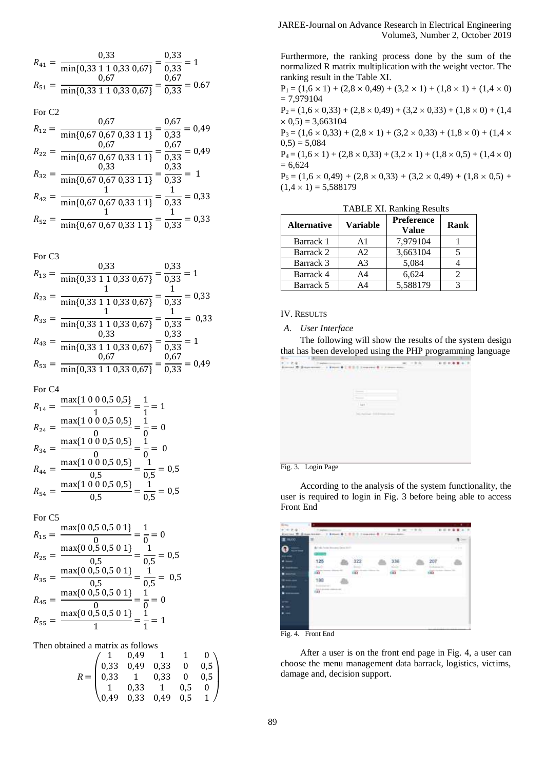$$
R_{41} = \frac{0.33}{\min\{0.33 \ 1 \ 1 \ 0.33 \ 0.67\}} = \frac{0.33}{0.33} = 1
$$
  

$$
R_{51} = \frac{0.67}{\min\{0.33 \ 1 \ 1 \ 0.33 \ 0.67\}} = \frac{0.67}{0.33} = 0.67
$$

For C2

|          | 0.67                                           | 0,67<br>$= 0,49$ |
|----------|------------------------------------------------|------------------|
| $R_{12}$ | $\overline{\text{min}\{0,67,0,67,0,33,1,1\}}$  | 0,33             |
| $R_{22}$ | 0.67                                           | 0,67<br>$= 0,49$ |
|          | $\overline{\text{min}\{0,67,0,67,0,33,1,1\}}$  | 0,33             |
| $R_{32}$ | 0.33                                           | 0,33             |
|          | $\overline{\text{min} \{0,67,0,67,0,33,1,1\}}$ | 0,33             |
| $R_{42}$ |                                                | 0,33             |
|          | $\overline{\min\{0,67,0,67,0,33,1,1\}}$        | 0,33             |
| $R_{52}$ |                                                | 0,33             |
|          | $min\{0,67,0,67,0,33,1,1\}$                    | 0.33             |

For C3

|          | 0,33                                      | 0,33<br>$= 1$     |
|----------|-------------------------------------------|-------------------|
| $R_{13}$ | min{0,33 1 1 0,33 0,67}                   | 0,33              |
|          |                                           | 0.33              |
| $R_{23}$ | $\overline{\text{min}\{0,33110,330,67\}}$ | $\overline{0.33}$ |
| $R_{33}$ |                                           | 0.33              |
|          | min{0,33 1 1 0,33 0,67}                   | 0,33              |
| $R_{43}$ | 0.33                                      | 0,33              |
|          | min{0,33 1 1 0,33 0,67}                   | 0,33              |
| $R_{53}$ |                                           | 0,67<br>0,49      |
|          | min{0,33 1 1 0,33 0,67}                   | $\overline{0.33}$ |

For C4

$$
R_{14} = \frac{\max\{1\ 0\ 0\ 0,5\ 0,5\}}{1} = \frac{1}{1} = 1
$$
  
\n
$$
R_{24} = \frac{\max\{1\ 0\ 0\ 0,5\ 0,5\}}{0} = \frac{1}{0} = 0
$$
  
\n
$$
R_{34} = \frac{\max\{1\ 0\ 0\ 0,5\ 0,5\}}{0} = \frac{1}{0} = 0
$$
  
\n
$$
R_{44} = \frac{\max\{1\ 0\ 0\ 0,5\ 0,5\}}{0,5} = \frac{1}{0,5} = 0,5
$$
  
\n
$$
R_{54} = \frac{\max\{1\ 0\ 0\ 0,5\ 0,5\}}{0,5} = \frac{1}{0,5} = 0,5
$$

For C5

$$
R_{15} = \frac{\max\{0.0, 5.0, 5.0.1\}}{0} = \frac{1}{0} = 0
$$
  
\n
$$
R_{25} = \frac{\max\{0.0, 5.0, 5.0.1\}}{0.5} = \frac{1}{0.5} = 0.5
$$
  
\n
$$
R_{35} = \frac{\max\{0.0, 5.0, 5.0.1\}}{0.5} = \frac{1}{0.5} = 0.5
$$
  
\n
$$
R_{45} = \frac{\max\{0.0, 5.0, 5.0.1\}}{0} = \frac{1}{0} = 0
$$
  
\n
$$
R_{55} = \frac{\max\{0.0, 5.0, 5.0.1\}}{1} = \frac{1}{1} = 1
$$

Then obtained a matrix as follows

$$
R = \begin{pmatrix} 1 & 0.49 & 1 & 1 & 0 \\ 0.33 & 0.49 & 0.33 & 0 & 0.5 \\ 0.33 & 1 & 0.33 & 0 & 0.5 \\ 1 & 0.33 & 1 & 0.5 & 0 \\ 0.49 & 0.33 & 0.49 & 0.5 & 1 \end{pmatrix}
$$

Furthermore, the ranking process done by the sum of the normalized R matrix multiplication with the weight vector. The ranking result in the Table XI.

 $P_1 = (1,6 \times 1) + (2,8 \times 0,49) + (3,2 \times 1) + (1,8 \times 1) + (1,4 \times 0)$  $= 7,979104$  $P_2 = (1,6 \times 0,33) + (2,8 \times 0,49) + (3,2 \times 0,33) + (1,8 \times 0) + (1,4$ 

 $\times$  0,5) = 3,663104

 $P_3 = (1,6 \times 0,33) + (2,8 \times 1) + (3,2 \times 0,33) + (1,8 \times 0) + (1,4 \times 0,33)$  $(0,5) = 5,084$ 

 $P_4 = (1,6 \times 1) + (2,8 \times 0,33) + (3,2 \times 1) + (1,8 \times 0,5) + (1,4 \times 0)$  $= 6,624$ 

 $P_5 = (1,6 \times 0,49) + (2,8 \times 0,33) + (3,2 \times 0,49) + (1,8 \times 0,5) +$  $(1,4 \times 1) = 5,588179$ 

| <b>Alternative</b> | <b>Variable</b> | <b>Preference</b> | Rank |
|--------------------|-----------------|-------------------|------|
|                    |                 | Value             |      |
| Barrack 1          | A <sub>1</sub>  | 7,979104          |      |
| Barrack 2          | A2              | 3,663104          |      |
| Barrack 3          | A <sub>3</sub>  | 5,084             |      |
| Barrack 4          | A4              | 6,624             |      |
| Barrack 5          | A4              | 5,588179          |      |

TABLE XI. Ranking Results

IV. RESULTS

*A. User Interface*

The following will show the results of the system design that has been developed using the PHP programming language

| 235 |                                                                                     |                   | $\mathbf{r}$<br>$\sim$ |
|-----|-------------------------------------------------------------------------------------|-------------------|------------------------|
|     | at 10 distances in a firm in ( $\approx 0.000$ ) concentration in the second state. |                   |                        |
|     |                                                                                     |                   |                        |
|     |                                                                                     |                   |                        |
|     |                                                                                     |                   |                        |
|     |                                                                                     |                   |                        |
|     |                                                                                     |                   |                        |
|     | -                                                                                   |                   |                        |
|     | last 1                                                                              |                   |                        |
|     | -                                                                                   |                   |                        |
|     | <b>SCARE</b><br>$-1111$                                                             |                   |                        |
|     |                                                                                     | <b>STATISTICS</b> |                        |
|     |                                                                                     |                   |                        |
|     |                                                                                     |                   |                        |
|     |                                                                                     |                   |                        |
|     |                                                                                     |                   |                        |
|     |                                                                                     |                   |                        |
|     |                                                                                     |                   |                        |
|     |                                                                                     |                   |                        |
|     |                                                                                     |                   |                        |
|     |                                                                                     |                   |                        |

Fig. 3. Login Page

According to the analysis of the system functionality, the user is required to login in Fig. 3 before being able to access Front End

|              |                                    |                                           |                              |                        |                 |                 | ٠           |
|--------------|------------------------------------|-------------------------------------------|------------------------------|------------------------|-----------------|-----------------|-------------|
|              | If leads<br>۰<br>Ill mass raiseast | Kimson                                    | It research &                |                        | $1 - 2 - 1 - 1$ | 40 TO 19        |             |
| <b>MIXI</b>  |                                    | $m = 50$                                  |                              |                        |                 |                 |             |
| <b>House</b> | . .                                | By I'mia Parison Alexander General Archi- |                              |                        |                 |                 | $1 - 1 = 1$ |
|              | <b>College College</b><br>775      |                                           |                              | <b>MARK COMMERCIAL</b> |                 | of all the same |             |
|              | 125                                |                                           | 322                          | 336                    |                 | 207             |             |
|              | ÷                                  |                                           |                              | 23                     |                 |                 |             |
|              | m.                                 |                                           | <b>CELL</b><br><b>TATION</b> | an<br>TT               |                 | ää<br>1922      |             |
|              | 188                                |                                           |                              |                        |                 |                 |             |
|              | Ant A project continues at         |                                           |                              |                        |                 |                 |             |
|              | <b>CENT CONTROL</b>                |                                           |                              |                        |                 |                 |             |
|              |                                    |                                           |                              |                        |                 |                 |             |
|              |                                    |                                           |                              |                        |                 |                 |             |
| -<br>٠       |                                    |                                           |                              |                        |                 |                 |             |
|              |                                    |                                           |                              |                        |                 |                 |             |
|              |                                    |                                           |                              |                        |                 |                 |             |

Fig. 4. Front End

After a user is on the front end page in Fig. 4, a user can choose the menu management data barrack, logistics, victims, damage and, decision support.